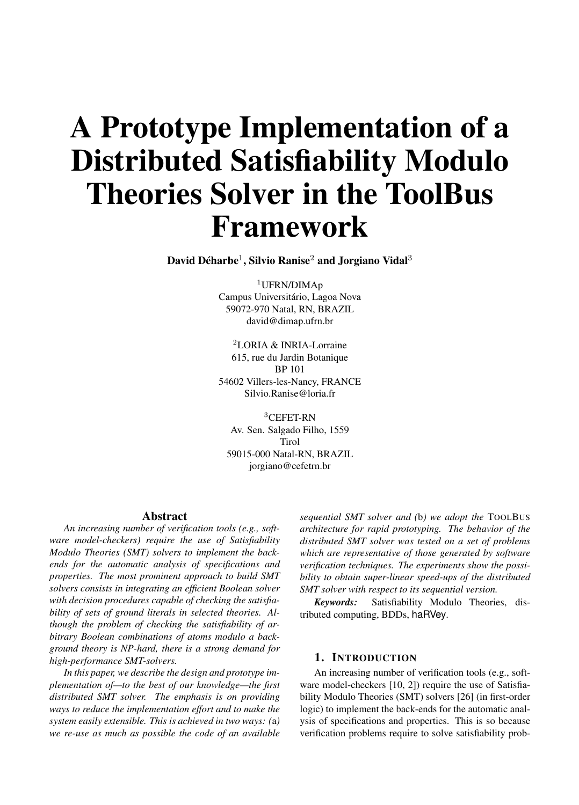# A Prototype Implementation of a Distributed Satisfiability Modulo Theories Solver in the ToolBus Framework

David Déharbe<sup>1</sup>, Silvio Ranise<sup>2</sup> and Jorgiano Vidal<sup>3</sup>

<sup>1</sup>UFRN/DIMAp Campus Universitário, Lagoa Nova 59072-970 Natal, RN, BRAZIL david@dimap.ufrn.br

<sup>2</sup>LORIA & INRIA-Lorraine 615, rue du Jardin Botanique BP 101 54602 Villers-les-Nancy, FRANCE Silvio.Ranise@loria.fr

 ${}^{3}$ CEFET-RN Av. Sen. Salgado Filho, 1559 Tirol 59015-000 Natal-RN, BRAZIL jorgiano@cefetrn.br

#### Abstract

*An increasing number of verification tools (e.g., software model-checkers) require the use of Satisfiability Modulo Theories (SMT) solvers to implement the backends for the automatic analysis of specifications and properties. The most prominent approach to build SMT solvers consists in integrating an efficient Boolean solver with decision procedures capable of checking the satisfiability of sets of ground literals in selected theories. Although the problem of checking the satisfiability of arbitrary Boolean combinations of atoms modulo a background theory is NP-hard, there is a strong demand for high-performance SMT-solvers.*

*In this paper, we describe the design and prototype implementation of—to the best of our knowledge—the first distributed SMT solver. The emphasis is on providing ways to reduce the implementation effort and to make the system easily extensible. This is achieved in two ways: (*a*) we re-use as much as possible the code of an available* *sequential SMT solver and (*b*) we adopt the* TOOLBUS *architecture for rapid prototyping. The behavior of the distributed SMT solver was tested on a set of problems which are representative of those generated by software verification techniques. The experiments show the possibility to obtain super-linear speed-ups of the distributed SMT solver with respect to its sequential version.*

*Keywords:* Satisfiability Modulo Theories, distributed computing, BDDs, haRVey.

## 1. INTRODUCTION

An increasing number of verification tools (e.g., software model-checkers [10, 2]) require the use of Satisfiability Modulo Theories (SMT) solvers [26] (in first-order logic) to implement the back-ends for the automatic analysis of specifications and properties. This is so because verification problems require to solve satisfiability prob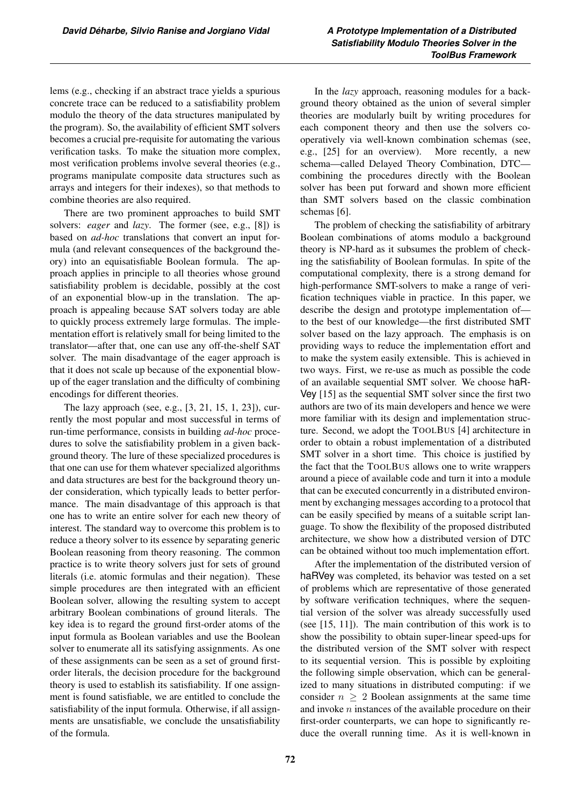lems (e.g., checking if an abstract trace yields a spurious concrete trace can be reduced to a satisfiability problem modulo the theory of the data structures manipulated by the program). So, the availability of efficient SMT solvers becomes a crucial pre-requisite for automating the various verification tasks. To make the situation more complex, most verification problems involve several theories (e.g., programs manipulate composite data structures such as arrays and integers for their indexes), so that methods to combine theories are also required.

There are two prominent approaches to build SMT solvers: *eager* and *lazy*. The former (see, e.g., [8]) is based on *ad-hoc* translations that convert an input formula (and relevant consequences of the background theory) into an equisatisfiable Boolean formula. The approach applies in principle to all theories whose ground satisfiability problem is decidable, possibly at the cost of an exponential blow-up in the translation. The approach is appealing because SAT solvers today are able to quickly process extremely large formulas. The implementation effort is relatively small for being limited to the translator—after that, one can use any off-the-shelf SAT solver. The main disadvantage of the eager approach is that it does not scale up because of the exponential blowup of the eager translation and the difficulty of combining encodings for different theories.

The lazy approach (see, e.g., [3, 21, 15, 1, 23]), currently the most popular and most successful in terms of run-time performance, consists in building *ad-hoc* procedures to solve the satisfiability problem in a given background theory. The lure of these specialized procedures is that one can use for them whatever specialized algorithms and data structures are best for the background theory under consideration, which typically leads to better performance. The main disadvantage of this approach is that one has to write an entire solver for each new theory of interest. The standard way to overcome this problem is to reduce a theory solver to its essence by separating generic Boolean reasoning from theory reasoning. The common practice is to write theory solvers just for sets of ground literals (i.e. atomic formulas and their negation). These simple procedures are then integrated with an efficient Boolean solver, allowing the resulting system to accept arbitrary Boolean combinations of ground literals. The key idea is to regard the ground first-order atoms of the input formula as Boolean variables and use the Boolean solver to enumerate all its satisfying assignments. As one of these assignments can be seen as a set of ground firstorder literals, the decision procedure for the background theory is used to establish its satisfiability. If one assignment is found satisfiable, we are entitled to conclude the satisfiability of the input formula. Otherwise, if all assignments are unsatisfiable, we conclude the unsatisfiability of the formula.

In the *lazy* approach, reasoning modules for a background theory obtained as the union of several simpler theories are modularly built by writing procedures for each component theory and then use the solvers cooperatively via well-known combination schemas (see, e.g., [25] for an overview). More recently, a new schema—called Delayed Theory Combination, DTC combining the procedures directly with the Boolean solver has been put forward and shown more efficient than SMT solvers based on the classic combination schemas [6].

The problem of checking the satisfiability of arbitrary Boolean combinations of atoms modulo a background theory is NP-hard as it subsumes the problem of checking the satisfiability of Boolean formulas. In spite of the computational complexity, there is a strong demand for high-performance SMT-solvers to make a range of verification techniques viable in practice. In this paper, we describe the design and prototype implementation of to the best of our knowledge—the first distributed SMT solver based on the lazy approach. The emphasis is on providing ways to reduce the implementation effort and to make the system easily extensible. This is achieved in two ways. First, we re-use as much as possible the code of an available sequential SMT solver. We choose haR-Vey [15] as the sequential SMT solver since the first two authors are two of its main developers and hence we were more familiar with its design and implementation structure. Second, we adopt the TOOLBUS [4] architecture in order to obtain a robust implementation of a distributed SMT solver in a short time. This choice is justified by the fact that the TOOLBUS allows one to write wrappers around a piece of available code and turn it into a module that can be executed concurrently in a distributed environment by exchanging messages according to a protocol that can be easily specified by means of a suitable script language. To show the flexibility of the proposed distributed architecture, we show how a distributed version of DTC can be obtained without too much implementation effort.

After the implementation of the distributed version of haRVey was completed, its behavior was tested on a set of problems which are representative of those generated by software verification techniques, where the sequential version of the solver was already successfully used (see [15, 11]). The main contribution of this work is to show the possibility to obtain super-linear speed-ups for the distributed version of the SMT solver with respect to its sequential version. This is possible by exploiting the following simple observation, which can be generalized to many situations in distributed computing: if we consider  $n \geq 2$  Boolean assignments at the same time and invoke  $n$  instances of the available procedure on their first-order counterparts, we can hope to significantly reduce the overall running time. As it is well-known in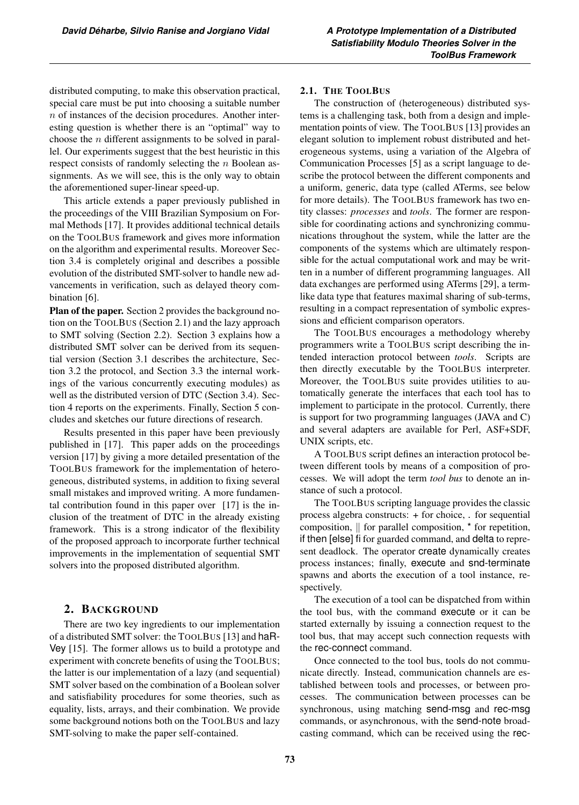distributed computing, to make this observation practical, special care must be put into choosing a suitable number  $n$  of instances of the decision procedures. Another interesting question is whether there is an "optimal" way to choose the  $n$  different assignments to be solved in parallel. Our experiments suggest that the best heuristic in this respect consists of randomly selecting the *n* Boolean assignments. As we will see, this is the only way to obtain the aforementioned super-linear speed-up.

This article extends a paper previously published in the proceedings of the VIII Brazilian Symposium on Formal Methods [17]. It provides additional technical details on the TOOLBUS framework and gives more information on the algorithm and experimental results. Moreover Section 3.4 is completely original and describes a possible evolution of the distributed SMT-solver to handle new advancements in verification, such as delayed theory combination [6].

Plan of the paper. Section 2 provides the background notion on the TOOLBUS (Section 2.1) and the lazy approach to SMT solving (Section 2.2). Section 3 explains how a distributed SMT solver can be derived from its sequential version (Section 3.1 describes the architecture, Section 3.2 the protocol, and Section 3.3 the internal workings of the various concurrently executing modules) as well as the distributed version of DTC (Section 3.4). Section 4 reports on the experiments. Finally, Section 5 concludes and sketches our future directions of research.

Results presented in this paper have been previously published in [17]. This paper adds on the proceedings version [17] by giving a more detailed presentation of the TOOLBUS framework for the implementation of heterogeneous, distributed systems, in addition to fixing several small mistakes and improved writing. A more fundamental contribution found in this paper over [17] is the inclusion of the treatment of DTC in the already existing framework. This is a strong indicator of the flexibility of the proposed approach to incorporate further technical improvements in the implementation of sequential SMT solvers into the proposed distributed algorithm.

## 2. BACKGROUND

There are two key ingredients to our implementation of a distributed SMT solver: the TOOLBUS [13] and haR-Vey [15]. The former allows us to build a prototype and experiment with concrete benefits of using the TOOLBUS; the latter is our implementation of a lazy (and sequential) SMT solver based on the combination of a Boolean solver and satisfiability procedures for some theories, such as equality, lists, arrays, and their combination. We provide some background notions both on the TOOLBUS and lazy SMT-solving to make the paper self-contained.

### 2.1. THE TOOLBUS

The construction of (heterogeneous) distributed systems is a challenging task, both from a design and implementation points of view. The TOOLBUS [13] provides an elegant solution to implement robust distributed and heterogeneous systems, using a variation of the Algebra of Communication Processes [5] as a script language to describe the protocol between the different components and a uniform, generic, data type (called ATerms, see below for more details). The TOOLBUS framework has two entity classes: *processes* and *tools*. The former are responsible for coordinating actions and synchronizing communications throughout the system, while the latter are the components of the systems which are ultimately responsible for the actual computational work and may be written in a number of different programming languages. All data exchanges are performed using ATerms [29], a termlike data type that features maximal sharing of sub-terms, resulting in a compact representation of symbolic expressions and efficient comparison operators.

The TOOLBUS encourages a methodology whereby programmers write a TOOLBUS script describing the intended interaction protocol between *tools*. Scripts are then directly executable by the TOOLBUS interpreter. Moreover, the TOOLBUS suite provides utilities to automatically generate the interfaces that each tool has to implement to participate in the protocol. Currently, there is support for two programming languages (JAVA and C) and several adapters are available for Perl, ASF+SDF, UNIX scripts, etc.

A TOOLBUS script defines an interaction protocol between different tools by means of a composition of processes. We will adopt the term *tool bus* to denote an instance of such a protocol.

The TOOLBUS scripting language provides the classic process algebra constructs: + for choice, . for sequential composition,  $\parallel$  for parallel composition,  $*$  for repetition, if then [else] fi for guarded command, and delta to represent deadlock. The operator create dynamically creates process instances; finally, execute and snd-terminate spawns and aborts the execution of a tool instance, respectively.

The execution of a tool can be dispatched from within the tool bus, with the command execute or it can be started externally by issuing a connection request to the tool bus, that may accept such connection requests with the rec-connect command.

Once connected to the tool bus, tools do not communicate directly. Instead, communication channels are established between tools and processes, or between processes. The communication between processes can be synchronous, using matching send-msg and rec-msg commands, or asynchronous, with the send-note broadcasting command, which can be received using the rec-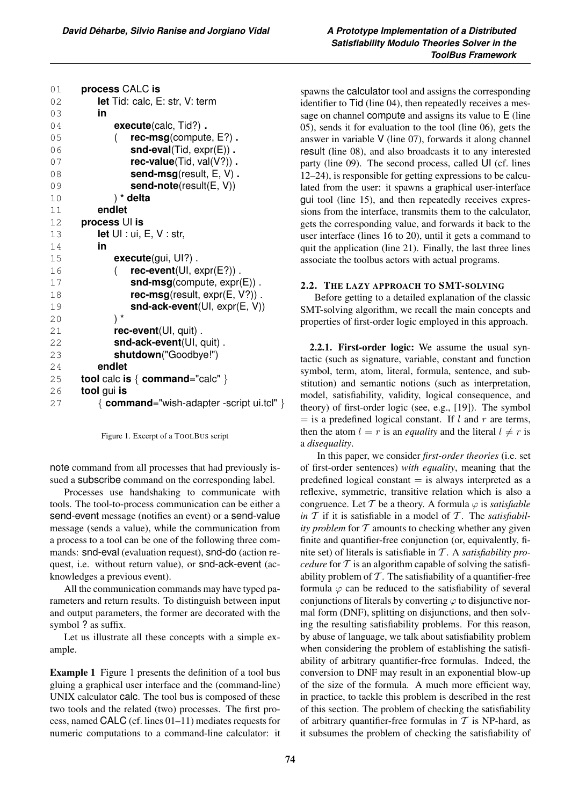| 01   | process CALC is                                 |
|------|-------------------------------------------------|
| 02   | <b>let</b> Tid: calc, E: str, V: term           |
| 03   | in                                              |
| 04   | execute(calc, Tid?).                            |
| 05   | $rec\text{-msg}$ (compute, $E$ ?).              |
| 06   | $snd-eval(Tid, expr(E))$ .                      |
| 07   | rec-value(Tid, val(V?)).                        |
| 08   | send-msg(result, E, V).                         |
| 09   | send-note(result(E, V))                         |
| 10   | ) * delta                                       |
| 11   | endlet                                          |
| $12$ | process UI is                                   |
| 13   | <b>let</b> $UI: ui, E, V: str,$                 |
| 14   | in                                              |
| 15   | execute(gui, UI?).                              |
| 16   | $rec\text{-}event(UI, expr(E?))$ .              |
| 17   | $snd-msg$ (compute, $exp(E)$ ).                 |
| 18   | $rec\text{-msg}$ (result, expr(E, V?)).         |
| 19   | snd-ack-event(UI, expr(E, V))                   |
| 20   | $) *$                                           |
| 21   | $rec$ -event $(UI, quit)$ .                     |
| 22   | snd-ack-event(UI, quit).                        |
| 23   | shutdown("Goodbye!")                            |
| 24   | endlet                                          |
| 25   | <b>tool</b> calc is $\{$ command="calc" $\}$    |
| 26   | tool gui is                                     |
| 27   | $\{$ command="wish-adapter -script ui.tcl" $\}$ |
|      |                                                 |

Figure 1. Excerpt of a TOOLBUS script

note command from all processes that had previously issued a subscribe command on the corresponding label.

Processes use handshaking to communicate with tools. The tool-to-process communication can be either a send-event message (notifies an event) or a send-value message (sends a value), while the communication from a process to a tool can be one of the following three commands: snd-eval (evaluation request), snd-do (action request, i.e. without return value), or snd-ack-event (acknowledges a previous event).

All the communication commands may have typed parameters and return results. To distinguish between input and output parameters, the former are decorated with the symbol ? as suffix.

Let us illustrate all these concepts with a simple example.

Example 1 Figure 1 presents the definition of a tool bus gluing a graphical user interface and the (command-line) UNIX calculator calc. The tool bus is composed of these two tools and the related (two) processes. The first process, named CALC (cf. lines 01–11) mediates requests for numeric computations to a command-line calculator: it

spawns the calculator tool and assigns the corresponding identifier to Tid (line 04), then repeatedly receives a message on channel compute and assigns its value to E (line 05), sends it for evaluation to the tool (line 06), gets the answer in variable V (line 07), forwards it along channel result (line 08), and also broadcasts it to any interested party (line 09). The second process, called UI (cf. lines 12–24), is responsible for getting expressions to be calculated from the user: it spawns a graphical user-interface gui tool (line 15), and then repeatedly receives expressions from the interface, transmits them to the calculator, gets the corresponding value, and forwards it back to the user interface (lines 16 to 20), until it gets a command to quit the application (line 21). Finally, the last three lines associate the toolbus actors with actual programs.

## 2.2. THE LAZY APPROACH TO SMT-SOLVING

Before getting to a detailed explanation of the classic SMT-solving algorithm, we recall the main concepts and properties of first-order logic employed in this approach.

2.2.1. First-order logic: We assume the usual syntactic (such as signature, variable, constant and function symbol, term, atom, literal, formula, sentence, and substitution) and semantic notions (such as interpretation, model, satisfiability, validity, logical consequence, and theory) of first-order logic (see, e.g., [19]). The symbol  $=$  is a predefined logical constant. If l and r are terms, then the atom  $l = r$  is an *equality* and the literal  $l \neq r$  is a *disequality*.

In this paper, we consider *first-order theories* (i.e. set of first-order sentences) *with equality*, meaning that the predefined logical constant  $=$  is always interpreted as a reflexive, symmetric, transitive relation which is also a congruence. Let T be a theory. A formula  $\varphi$  is *satisfiable* in  $T$  if it is satisfiable in a model of  $T$ . The *satisfiability problem* for  $T$  amounts to checking whether any given finite and quantifier-free conjunction (or, equivalently, finite set) of literals is satisfiable in T . A *satisfiability procedure* for  $T$  is an algorithm capable of solving the satisfiability problem of  $\mathcal T$ . The satisfiability of a quantifier-free formula  $\varphi$  can be reduced to the satisfiability of several conjunctions of literals by converting  $\varphi$  to disjunctive normal form (DNF), splitting on disjunctions, and then solving the resulting satisfiability problems. For this reason, by abuse of language, we talk about satisfiability problem when considering the problem of establishing the satisfiability of arbitrary quantifier-free formulas. Indeed, the conversion to DNF may result in an exponential blow-up of the size of the formula. A much more efficient way, in practice, to tackle this problem is described in the rest of this section. The problem of checking the satisfiability of arbitrary quantifier-free formulas in  $T$  is NP-hard, as it subsumes the problem of checking the satisfiability of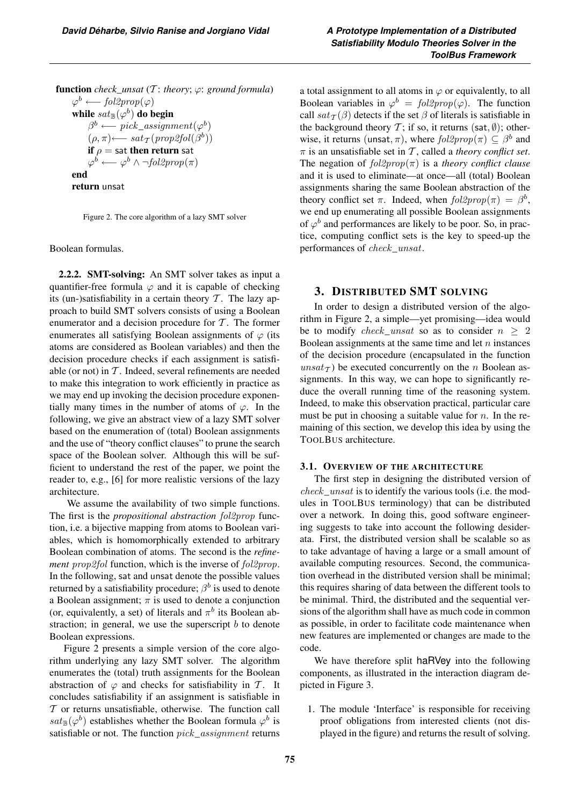**function** *check\_unsat* (*T*: *theory*;  $\varphi$ : *ground formula*)  $\varphi^b \longleftarrow$  fol2prop( $\varphi$ ) while  $sat_{\mathbb{B}}(\varphi^b)$  do begin  $\beta^b \longleftarrow pick \; assignment(\varphi^b)$  $(\rho, \pi) \longleftarrow sat_{\mathcal{T}}(prop2fol(\beta^b))$ if  $\rho =$  sat then return sat  $\varphi^b \longleftarrow \varphi^b \wedge \neg fol2prop(\pi)$ end return unsat

Figure 2. The core algorithm of a lazy SMT solver

Boolean formulas.

2.2.2. SMT-solving: An SMT solver takes as input a quantifier-free formula  $\varphi$  and it is capable of checking its (un-)satisfiability in a certain theory  $T$ . The lazy approach to build SMT solvers consists of using a Boolean enumerator and a decision procedure for  $T$ . The former enumerates all satisfying Boolean assignments of  $\varphi$  (its atoms are considered as Boolean variables) and then the decision procedure checks if each assignment is satisfiable (or not) in  $T$ . Indeed, several refinements are needed to make this integration to work efficiently in practice as we may end up invoking the decision procedure exponentially many times in the number of atoms of  $\varphi$ . In the following, we give an abstract view of a lazy SMT solver based on the enumeration of (total) Boolean assignments and the use of "theory conflict clauses" to prune the search space of the Boolean solver. Although this will be sufficient to understand the rest of the paper, we point the reader to, e.g., [6] for more realistic versions of the lazy architecture.

We assume the availability of two simple functions. The first is the *propositional abstraction* fol2prop function, i.e. a bijective mapping from atoms to Boolean variables, which is homomorphically extended to arbitrary Boolean combination of atoms. The second is the *refinement prop2fol* function, which is the inverse of  $fol2prop$ . In the following, sat and unsat denote the possible values returned by a satisfiability procedure;  $\beta^b$  is used to denote a Boolean assignment;  $\pi$  is used to denote a conjunction (or, equivalently, a set) of literals and  $\pi^b$  its Boolean abstraction; in general, we use the superscript  $b$  to denote Boolean expressions.

Figure 2 presents a simple version of the core algorithm underlying any lazy SMT solver. The algorithm enumerates the (total) truth assignments for the Boolean abstraction of  $\varphi$  and checks for satisfiability in T. It concludes satisfiability if an assignment is satisfiable in  $T$  or returns unsatisfiable, otherwise. The function call  $sat_{\mathbb{B}}(\varphi^b)$  establishes whether the Boolean formula  $\varphi^b$  is satisfiable or not. The function  $pick\_assignment$  returns a total assignment to all atoms in  $\varphi$  or equivalently, to all Boolean variables in  $\varphi^b = \text{fol2prop}(\varphi)$ . The function call  $sat_{\mathcal{T}}(\beta)$  detects if the set  $\beta$  of literals is satisfiable in the background theory  $\mathcal{T}$ ; if so, it returns (sat,  $\emptyset$ ); otherwise, it returns (unsat,  $\pi$ ), where  $fol2prop(\pi) \subseteq \beta^b$  and  $\pi$  is an unsatisfiable set in T, called a *theory conflict set*. The negation of fol2prop(π) is a *theory conflict clause* and it is used to eliminate—at once—all (total) Boolean assignments sharing the same Boolean abstraction of the theory conflict set  $\pi$ . Indeed, when  $fol2prop(\pi) = \beta^b$ , we end up enumerating all possible Boolean assignments of  $\varphi^b$  and performances are likely to be poor. So, in practice, computing conflict sets is the key to speed-up the performances of check\_unsat.

# 3. DISTRIBUTED SMT SOLVING

In order to design a distributed version of the algorithm in Figure 2, a simple—yet promising—idea would be to modify check\_unsat so as to consider  $n \geq 2$ Boolean assignments at the same time and let  $n$  instances of the decision procedure (encapsulated in the function  $unsat_{\mathcal{T}}$ ) be executed concurrently on the n Boolean assignments. In this way, we can hope to significantly reduce the overall running time of the reasoning system. Indeed, to make this observation practical, particular care must be put in choosing a suitable value for  $n$ . In the remaining of this section, we develop this idea by using the TOOLBUS architecture.

#### 3.1. OVERVIEW OF THE ARCHITECTURE

The first step in designing the distributed version of  $check\_unsat$  is to identify the various tools (i.e. the modules in TOOLBUS terminology) that can be distributed over a network. In doing this, good software engineering suggests to take into account the following desiderata. First, the distributed version shall be scalable so as to take advantage of having a large or a small amount of available computing resources. Second, the communication overhead in the distributed version shall be minimal; this requires sharing of data between the different tools to be minimal. Third, the distributed and the sequential versions of the algorithm shall have as much code in common as possible, in order to facilitate code maintenance when new features are implemented or changes are made to the code.

We have therefore split haRVey into the following components, as illustrated in the interaction diagram depicted in Figure 3.

1. The module 'Interface' is responsible for receiving proof obligations from interested clients (not displayed in the figure) and returns the result of solving.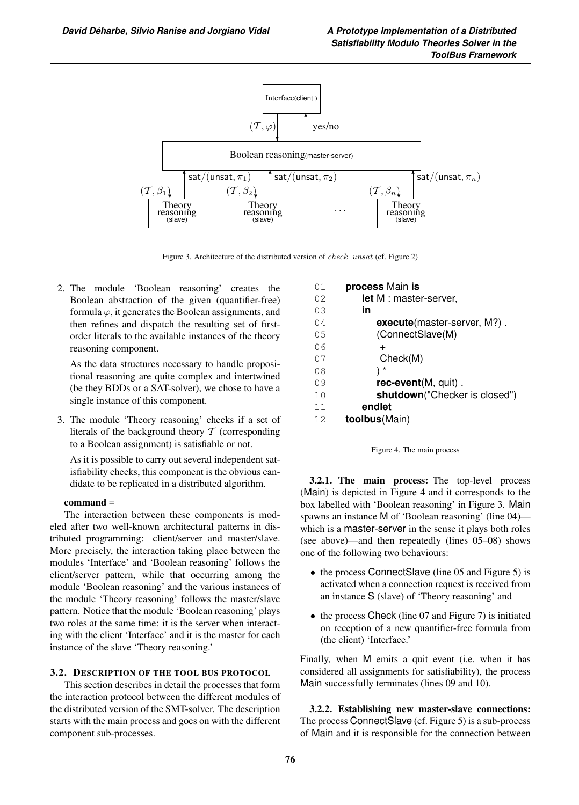

Figure 3. Architecture of the distributed version of check\_unsat (cf. Figure 2)

2. The module 'Boolean reasoning' creates the Boolean abstraction of the given (quantifier-free) formula  $\varphi$ , it generates the Boolean assignments, and then refines and dispatch the resulting set of firstorder literals to the available instances of the theory reasoning component.

As the data structures necessary to handle propositional reasoning are quite complex and intertwined (be they BDDs or a SAT-solver), we chose to have a single instance of this component.

3. The module 'Theory reasoning' checks if a set of literals of the background theory  $T$  (corresponding to a Boolean assignment) is satisfiable or not.

As it is possible to carry out several independent satisfiability checks, this component is the obvious candidate to be replicated in a distributed algorithm.

## command =

The interaction between these components is modeled after two well-known architectural patterns in distributed programming: client/server and master/slave. More precisely, the interaction taking place between the modules 'Interface' and 'Boolean reasoning' follows the client/server pattern, while that occurring among the module 'Boolean reasoning' and the various instances of the module 'Theory reasoning' follows the master/slave pattern. Notice that the module 'Boolean reasoning' plays two roles at the same time: it is the server when interacting with the client 'Interface' and it is the master for each instance of the slave 'Theory reasoning.'

#### 3.2. DESCRIPTION OF THE TOOL BUS PROTOCOL

This section describes in detail the processes that form the interaction protocol between the different modules of the distributed version of the SMT-solver. The description starts with the main process and goes on with the different component sub-processes.

| 01  | process Main is               |
|-----|-------------------------------|
| 02  | let M : master-server,        |
| 0.3 | in                            |
| 04  | execute(master-server, M?).   |
| 05  | (ConnectSlave(M)              |
| 06  | $\div$                        |
| 07  | Check(M)                      |
| 08  | *                             |
| 09  | $rec$ -event $(M, quit)$ .    |
| 10  | shutdown("Checker is closed") |
| 11  | endlet                        |
| 12  | <b>toolbus</b> (Main)         |



3.2.1. The main process: The top-level process (Main) is depicted in Figure 4 and it corresponds to the box labelled with 'Boolean reasoning' in Figure 3. Main spawns an instance M of 'Boolean reasoning' (line 04) which is a master-server in the sense it plays both roles (see above)—and then repeatedly (lines 05–08) shows one of the following two behaviours:

- the process Connect Slave (line 05 and Figure 5) is activated when a connection request is received from an instance S (slave) of 'Theory reasoning' and
- the process Check (line 07 and Figure 7) is initiated on reception of a new quantifier-free formula from (the client) 'Interface.'

Finally, when M emits a quit event (i.e. when it has considered all assignments for satisfiability), the process Main successfully terminates (lines 09 and 10).

3.2.2. Establishing new master-slave connections: The process ConnectSlave (cf. Figure 5) is a sub-process of Main and it is responsible for the connection between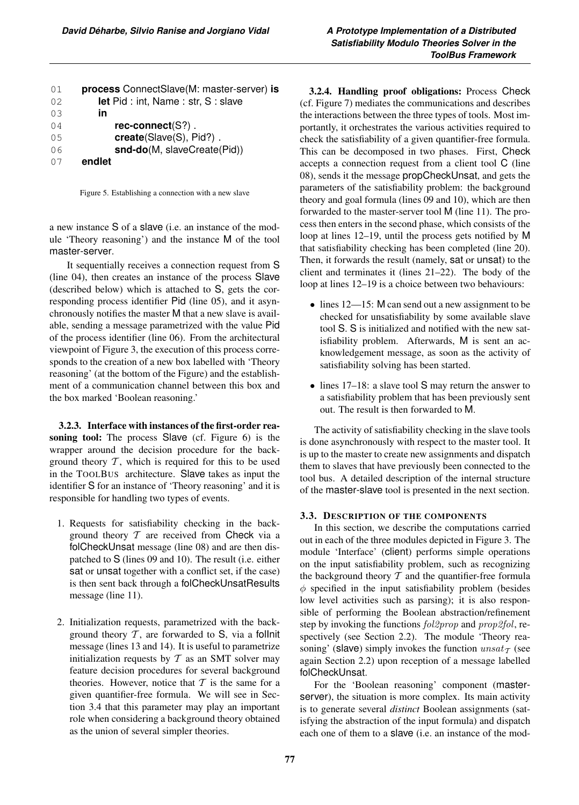| 01  | process ConnectSlave(M: master-server) is |
|-----|-------------------------------------------|
| 02  | <b>let</b> Pid: int, Name: str, S: slave  |
| 0.3 | in                                        |
| 04  | $rec-conrect(S?)$ .                       |
| 0.5 | $create(Slave(S), Pid?)$ .                |
| 06  | snd-do(M, slaveCreate(Pid))               |
| 07  | endlet                                    |

Figure 5. Establishing a connection with a new slave

a new instance S of a slave (i.e. an instance of the module 'Theory reasoning') and the instance M of the tool master-server.

It sequentially receives a connection request from S (line 04), then creates an instance of the process Slave (described below) which is attached to S, gets the corresponding process identifier Pid (line 05), and it asynchronously notifies the master M that a new slave is available, sending a message parametrized with the value Pid of the process identifier (line 06). From the architectural viewpoint of Figure 3, the execution of this process corresponds to the creation of a new box labelled with 'Theory reasoning' (at the bottom of the Figure) and the establishment of a communication channel between this box and the box marked 'Boolean reasoning.'

3.2.3. Interface with instances of the first-order reasoning tool: The process Slave (cf. Figure 6) is the wrapper around the decision procedure for the background theory  $T$ , which is required for this to be used in the TOOLBUS architecture. Slave takes as input the identifier S for an instance of 'Theory reasoning' and it is responsible for handling two types of events.

- 1. Requests for satisfiability checking in the background theory  $T$  are received from Check via a folCheckUnsat message (line 08) and are then dispatched to S (lines 09 and 10). The result (i.e. either sat or unsat together with a conflict set, if the case) is then sent back through a folCheckUnsatResults message (line 11).
- 2. Initialization requests, parametrized with the background theory  $T$ , are forwarded to S, via a follnit message (lines 13 and 14). It is useful to parametrize initialization requests by  $T$  as an SMT solver may feature decision procedures for several background theories. However, notice that  $T$  is the same for a given quantifier-free formula. We will see in Section 3.4 that this parameter may play an important role when considering a background theory obtained as the union of several simpler theories.

3.2.4. Handling proof obligations: Process Check (cf. Figure 7) mediates the communications and describes the interactions between the three types of tools. Most importantly, it orchestrates the various activities required to check the satisfiability of a given quantifier-free formula. This can be decomposed in two phases. First, Check accepts a connection request from a client tool C (line 08), sends it the message propCheckUnsat, and gets the parameters of the satisfiability problem: the background theory and goal formula (lines 09 and 10), which are then forwarded to the master-server tool M (line 11). The process then enters in the second phase, which consists of the loop at lines 12–19, until the process gets notified by M that satisfiability checking has been completed (line 20). Then, it forwards the result (namely, sat or unsat) to the client and terminates it (lines 21–22). The body of the loop at lines 12–19 is a choice between two behaviours:

- lines 12—15: M can send out a new assignment to be checked for unsatisfiability by some available slave tool S. S is initialized and notified with the new satisfiability problem. Afterwards, M is sent an acknowledgement message, as soon as the activity of satisfiability solving has been started.
- lines 17–18: a slave tool S may return the answer to a satisfiability problem that has been previously sent out. The result is then forwarded to M.

The activity of satisfiability checking in the slave tools is done asynchronously with respect to the master tool. It is up to the master to create new assignments and dispatch them to slaves that have previously been connected to the tool bus. A detailed description of the internal structure of the master-slave tool is presented in the next section.

## 3.3. DESCRIPTION OF THE COMPONENTS

In this section, we describe the computations carried out in each of the three modules depicted in Figure 3. The module 'Interface' (client) performs simple operations on the input satisfiability problem, such as recognizing the background theory  $T$  and the quantifier-free formula  $\phi$  specified in the input satisfiability problem (besides low level activities such as parsing); it is also responsible of performing the Boolean abstraction/refinement step by invoking the functions  $fol2prop$  and  $prop2fol$ , respectively (see Section 2.2). The module 'Theory reasoning' (slave) simply invokes the function  $unsat_{\mathcal{T}}$  (see again Section 2.2) upon reception of a message labelled folCheckUnsat.

For the 'Boolean reasoning' component (masterserver), the situation is more complex. Its main activity is to generate several *distinct* Boolean assignments (satisfying the abstraction of the input formula) and dispatch each one of them to a slave (i.e. an instance of the mod-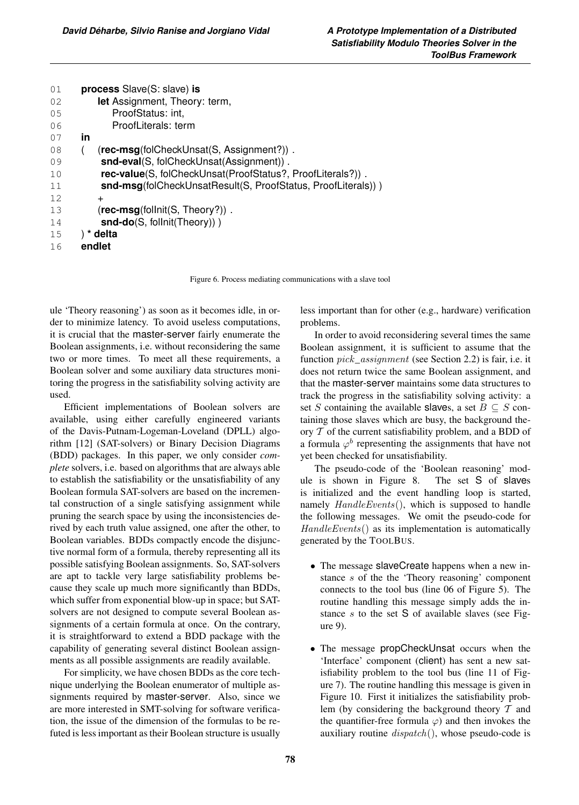| process Slave(S: slave) is                                   |
|--------------------------------------------------------------|
| let Assignment, Theory: term,                                |
| ProofStatus: int,                                            |
| ProofLiterals: term                                          |
| in                                                           |
| (rec-msg(folCheckUnsat(S, Assignment?)).                     |
| snd-eval(S, folCheckUnsat(Assignment)).                      |
| rec-value(S, folCheckUnsat(ProofStatus?, ProofLiterals?)).   |
| snd-msg(folCheckUnsatResult(S, ProofStatus, ProofLiterals))) |
| $\ddot{}$                                                    |
| $(rec-msg(following following):$                             |
| $\mathsf{snd-do}(S, \mathsf{follnit}(Theory))$ )             |
| delta                                                        |
| endlet                                                       |
|                                                              |

Figure 6. Process mediating communications with a slave tool

ule 'Theory reasoning') as soon as it becomes idle, in order to minimize latency. To avoid useless computations, it is crucial that the master-server fairly enumerate the Boolean assignments, i.e. without reconsidering the same two or more times. To meet all these requirements, a Boolean solver and some auxiliary data structures monitoring the progress in the satisfiability solving activity are used.

Efficient implementations of Boolean solvers are available, using either carefully engineered variants of the Davis-Putnam-Logeman-Loveland (DPLL) algorithm [12] (SAT-solvers) or Binary Decision Diagrams (BDD) packages. In this paper, we only consider *complete* solvers, i.e. based on algorithms that are always able to establish the satisfiability or the unsatisfiability of any Boolean formula SAT-solvers are based on the incremental construction of a single satisfying assignment while pruning the search space by using the inconsistencies derived by each truth value assigned, one after the other, to Boolean variables. BDDs compactly encode the disjunctive normal form of a formula, thereby representing all its possible satisfying Boolean assignments. So, SAT-solvers are apt to tackle very large satisfiability problems because they scale up much more significantly than BDDs, which suffer from exponential blow-up in space; but SATsolvers are not designed to compute several Boolean assignments of a certain formula at once. On the contrary, it is straightforward to extend a BDD package with the capability of generating several distinct Boolean assignments as all possible assignments are readily available.

For simplicity, we have chosen BDDs as the core technique underlying the Boolean enumerator of multiple assignments required by master-server. Also, since we are more interested in SMT-solving for software verification, the issue of the dimension of the formulas to be refuted is less important as their Boolean structure is usually less important than for other (e.g., hardware) verification problems.

In order to avoid reconsidering several times the same Boolean assignment, it is sufficient to assume that the function  $pick\_assignment$  (see Section 2.2) is fair, i.e. it does not return twice the same Boolean assignment, and that the master-server maintains some data structures to track the progress in the satisfiability solving activity: a set S containing the available slaves, a set  $B \subseteq S$  containing those slaves which are busy, the background theory  $T$  of the current satisfiability problem, and a BDD of a formula  $\varphi^b$  representing the assignments that have not yet been checked for unsatisfiability.

The pseudo-code of the 'Boolean reasoning' module is shown in Figure 8. The set S of slaves is initialized and the event handling loop is started, namely  $H and le Events()$ , which is supposed to handle the following messages. We omit the pseudo-code for HandleEvents() as its implementation is automatically generated by the TOOLBUS.

- The message slaveCreate happens when a new instance s of the the 'Theory reasoning' component connects to the tool bus (line 06 of Figure 5). The routine handling this message simply adds the instance  $s$  to the set  $S$  of available slaves (see Figure 9).
- The message propCheckUnsat occurs when the 'Interface' component (client) has sent a new satisfiability problem to the tool bus (line 11 of Figure 7). The routine handling this message is given in Figure 10. First it initializes the satisfiability problem (by considering the background theory  $T$  and the quantifier-free formula  $\varphi$ ) and then invokes the auxiliary routine  $dispatch()$ , whose pseudo-code is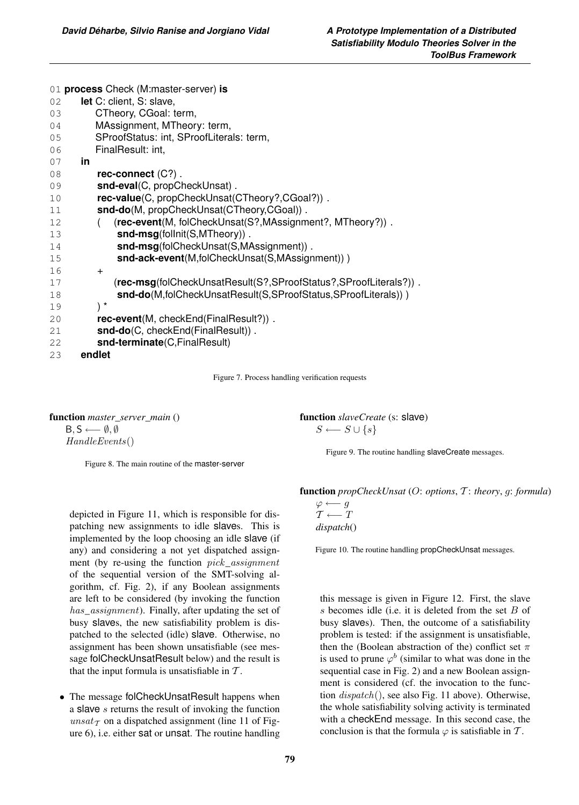| 01 process Check (M:master-server) is                                  |
|------------------------------------------------------------------------|
| let C: client, S: slave,<br>02                                         |
| CTheory, CGoal: term,<br>03                                            |
| MAssignment, MTheory: term,<br>04                                      |
| SProofStatus: int, SProofLiterals: term,<br>05                         |
| FinalResult: int,<br>06                                                |
| in.<br>07                                                              |
| rec-connect $(C?)$ .<br>08                                             |
| snd-eval(C, propCheckUnsat).<br>09                                     |
| rec-value(C, propCheckUnsat(CTheory?,CGoal?)).<br>10                   |
| snd-do(M, propCheckUnsat(CTheory,CGoal)).<br>11                        |
| (rec-event(M, folCheckUnsat(S?, MAssignment?, MTheory?)).<br>12        |
| snd-msg(follnit(S,MTheory)).<br>13                                     |
| snd-msg(folCheckUnsat(S,MAssignment)).<br>14                           |
| snd-ack-event(M,folCheckUnsat(S,MAssignment)))<br>15                   |
| 16<br>$\ddot{}$                                                        |
| (rec-msg(folCheckUnsatResult(S?,SProofStatus?,SProofLiterals?)).<br>17 |
| snd-do(M,folCheckUnsatResult(S,SProofStatus,SProofLiterals)))<br>18    |
| $\mathbf{r}$<br>19                                                     |
| <b>rec-event</b> (M, checkEnd(FinalResult?)).<br>20                    |
| snd-do(C, checkEnd(FinalResult)).<br>21                                |
| snd-terminate(C,FinalResult)<br>22                                     |
| endlet<br>23                                                           |

Figure 7. Process handling verification requests

function *master\_server\_main* ()

 $B, S \longleftarrow \emptyset, \emptyset$ 

HandleEvents()

Figure 8. The main routine of the master-server

depicted in Figure 11, which is responsible for dispatching new assignments to idle slaves. This is implemented by the loop choosing an idle slave (if any) and considering a not yet dispatched assignment (by re-using the function  $pick\_assignment$ of the sequential version of the SMT-solving algorithm, cf. Fig. 2), if any Boolean assignments are left to be considered (by invoking the function has\_assignment). Finally, after updating the set of busy slaves, the new satisfiability problem is dispatched to the selected (idle) slave. Otherwise, no assignment has been shown unsatisfiable (see message folCheckUnsatResult below) and the result is that the input formula is unsatisfiable in  $T$ .

• The message folCheckUnsatResult happens when a slave  $s$  returns the result of invoking the function unsat $\tau$  on a dispatched assignment (line 11 of Figure 6), i.e. either sat or unsat. The routine handling function *slaveCreate* (s: slave)  $S \longleftarrow S \cup \{s\}$ 

Figure 9. The routine handling slaveCreate messages.

function *propCheckUnsat* (O: *options*, T : *theory*, g: *formula*)

 $\varphi \longleftarrow g$  $T \longleftarrow T$ *dispatch*()

Figure 10. The routine handling propCheckUnsat messages.

this message is given in Figure 12. First, the slave  $s$  becomes idle (i.e. it is deleted from the set  $B$  of busy slaves). Then, the outcome of a satisfiability problem is tested: if the assignment is unsatisfiable, then the (Boolean abstraction of the) conflict set  $\pi$ is used to prune  $\varphi^b$  (similar to what was done in the sequential case in Fig. 2) and a new Boolean assignment is considered (cf. the invocation to the function  $dispatch()$ , see also Fig. 11 above). Otherwise, the whole satisfiability solving activity is terminated with a checkEnd message. In this second case, the conclusion is that the formula  $\varphi$  is satisfiable in T.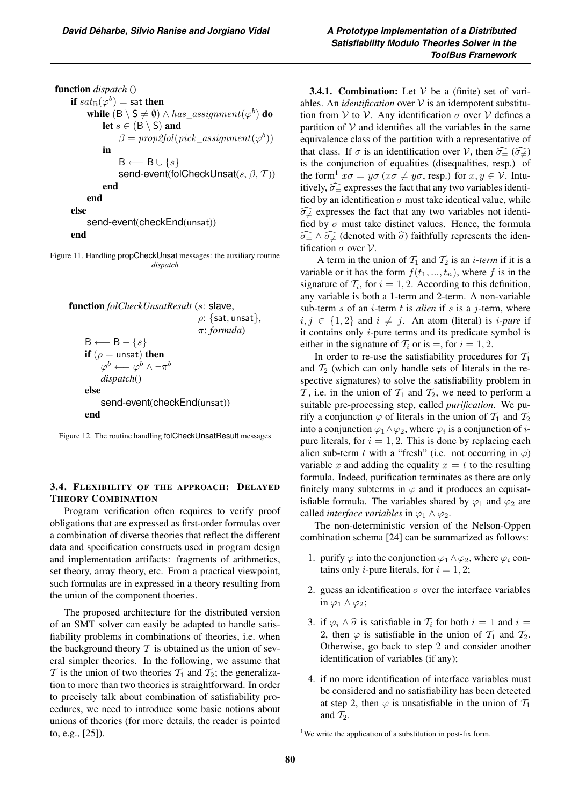function *dispatch* () if  $sat_{\mathbb{B}}(\varphi^b) =$  sat then while  $(B \setminus S \neq \emptyset) \land has\_assignment(\varphi^b)$  do let  $s \in (B \setminus S)$  and  $\beta = prop2fol(pick\_assignment(\varphi^b))$ in  $B \longleftarrow B \cup \{s\}$ send-event(folCheckUnsat(s,  $\beta$ , T)) end end else send-event(checkEnd(unsat)) end

Figure 11. Handling propCheckUnsat messages: the auxiliary routine *dispatch*

```
function folCheckUnsatResult (s: slave,
                                     \rho: {sat, unsat},
                                     π: formula)
B \longleftarrow B - \{s\}if (\rho = \mathsf{unsat}) then
     \varphi^b \longleftarrow \varphi^b \wedge \neg \pi^bdispatch()
else
     send-event(checkEnd(unsat))
end
```
Figure 12. The routine handling folCheckUnsatResult messages

## 3.4. FLEXIBILITY OF THE APPROACH: DELAYED THEORY COMBINATION

Program verification often requires to verify proof obligations that are expressed as first-order formulas over a combination of diverse theories that reflect the different data and specification constructs used in program design and implementation artifacts: fragments of arithmetics, set theory, array theory, etc. From a practical viewpoint, such formulas are in expressed in a theory resulting from the union of the component thoeries.

The proposed architecture for the distributed version of an SMT solver can easily be adapted to handle satisfiability problems in combinations of theories, i.e. when the background theory  $T$  is obtained as the union of several simpler theories. In the following, we assume that  $\mathcal T$  is the union of two theories  $\mathcal T_1$  and  $\mathcal T_2$ ; the generalization to more than two theories is straightforward. In order to precisely talk about combination of satisfiability procedures, we need to introduce some basic notions about unions of theories (for more details, the reader is pointed to, e.g., [25]).

**3.4.1. Combination:** Let  $V$  be a (finite) set of variables. An *identification* over  $V$  is an idempotent substitution from V to V. Any identification  $\sigma$  over V defines a partition of  $V$  and identifies all the variables in the same equivalence class of the partition with a representative of that class. If  $\sigma$  is an identification over V, then  $\widehat{\sigma}_{\widehat{=}} (\widehat{\sigma}_{\neq})$ <br>is the conjunction of equalities (disequalities resp.) of is the conjunction of equalities (disequalities, resp.) of the form<sup>1</sup>  $x\sigma = y\sigma$  ( $x\sigma \neq y\sigma$ , resp.) for  $x, y \in V$ . Intuitively,  $\widehat{\sigma}_{=}$  expresses the fact that any two variables identi-<br>fied by an identification  $\sigma$  must take identical value, while fied by an identification  $\sigma$  must take identical value, while  $\widehat{\sigma}_{\neq}$  expresses the fact that any two variables not identi-<br>fied by  $\sigma$  must take distinct values. Hence, the formula fied by  $\sigma$  must take distinct values. Hence, the formula  $\widehat{\sigma_{\rightleftharpoons}} \wedge \widehat{\sigma_{\neq}}$  (denoted with  $\widehat{\sigma}$ ) faithfully represents the identification  $\sigma$  over  $\mathcal V$ tification  $\sigma$  over  $\mathcal{V}$ .

A term in the union of  $T_1$  and  $T_2$  is an *i-term* if it is a variable or it has the form  $f(t_1, ..., t_n)$ , where f is in the signature of  $\mathcal{T}_i$ , for  $i = 1, 2$ . According to this definition, any variable is both a 1-term and 2-term. A non-variable sub-term s of an  $i$ -term t is *alien* if s is a  $j$ -term, where  $i, j \in \{1, 2\}$  and  $i \neq j$ . An atom (literal) is *i-pure* if it contains only  $i$ -pure terms and its predicate symbol is either in the signature of  $\mathcal{T}_i$  or is =, for  $i = 1, 2$ .

In order to re-use the satisfiability procedures for  $T_1$ and  $T_2$  (which can only handle sets of literals in the respective signatures) to solve the satisfiability problem in T, i.e. in the union of  $T_1$  and  $T_2$ , we need to perform a suitable pre-processing step, called *purification*. We purify a conjunction  $\varphi$  of literals in the union of  $T_1$  and  $T_2$ into a conjunction  $\varphi_1 \wedge \varphi_2$ , where  $\varphi_i$  is a conjunction of *i*pure literals, for  $i = 1, 2$ . This is done by replacing each alien sub-term t with a "fresh" (i.e. not occurring in  $\varphi$ ) variable x and adding the equality  $x = t$  to the resulting formula. Indeed, purification terminates as there are only finitely many subterms in  $\varphi$  and it produces an equisatisfiable formula. The variables shared by  $\varphi_1$  and  $\varphi_2$  are called *interface variables* in  $\varphi_1 \wedge \varphi_2$ .

The non-deterministic version of the Nelson-Oppen combination schema [24] can be summarized as follows:

- 1. purify  $\varphi$  into the conjunction  $\varphi_1 \wedge \varphi_2$ , where  $\varphi_i$  contains only *i*-pure literals, for  $i = 1, 2$ ;
- 2. guess an identification  $\sigma$  over the interface variables in  $\varphi_1 \wedge \varphi_2$ ;
- 3. if  $\varphi_i \wedge \widehat{\sigma}$  is satisfiable in  $\mathcal{T}_i$  for both  $i = 1$  and  $i =$ 2, then  $\varphi$  is satisfiable in the union of  $\mathcal{T}_1$  and  $\mathcal{T}_2$ . Otherwise, go back to step 2 and consider another identification of variables (if any);
- 4. if no more identification of interface variables must be considered and no satisfiability has been detected at step 2, then  $\varphi$  is unsatisfiable in the union of  $\mathcal{T}_1$ and  $\mathcal{T}_2$ .

<sup>&</sup>lt;sup>1</sup>We write the application of a substitution in post-fix form.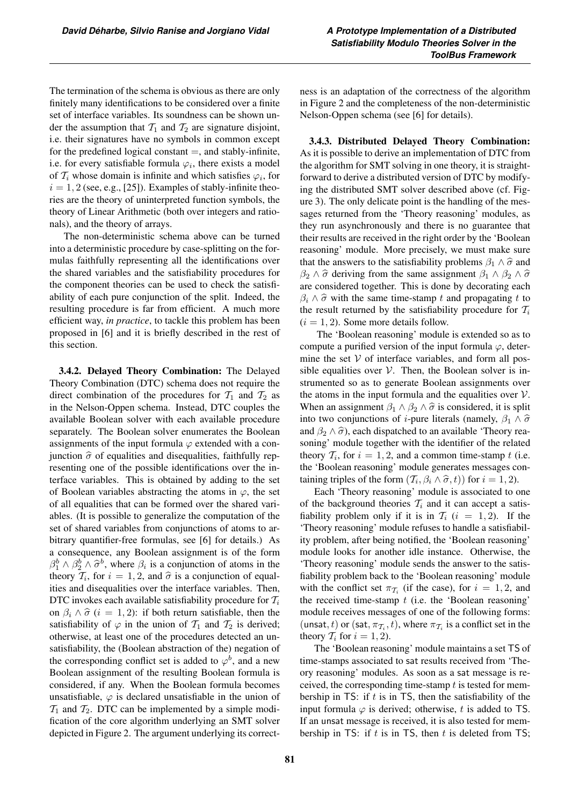The termination of the schema is obvious as there are only finitely many identifications to be considered over a finite set of interface variables. Its soundness can be shown under the assumption that  $T_1$  and  $T_2$  are signature disjoint, i.e. their signatures have no symbols in common except for the predefined logical constant  $=$ , and stably-infinite, i.e. for every satisfiable formula  $\varphi_i$ , there exists a model of  $\mathcal{T}_i$  whose domain is infinite and which satisfies  $\varphi_i$ , for  $i = 1, 2$  (see, e.g., [25]). Examples of stably-infinite theories are the theory of uninterpreted function symbols, the theory of Linear Arithmetic (both over integers and rationals), and the theory of arrays.

The non-deterministic schema above can be turned into a deterministic procedure by case-splitting on the formulas faithfully representing all the identifications over the shared variables and the satisfiability procedures for the component theories can be used to check the satisfiability of each pure conjunction of the split. Indeed, the resulting procedure is far from efficient. A much more efficient way, *in practice*, to tackle this problem has been proposed in [6] and it is briefly described in the rest of this section.

3.4.2. Delayed Theory Combination: The Delayed Theory Combination (DTC) schema does not require the direct combination of the procedures for  $T_1$  and  $T_2$  as in the Nelson-Oppen schema. Instead, DTC couples the available Boolean solver with each available procedure separately. The Boolean solver enumerates the Boolean assignments of the input formula  $\varphi$  extended with a conjunction  $\hat{\sigma}$  of equalities and disequalities, faithfully representing one of the possible identifications over the interface variables. This is obtained by adding to the set of Boolean variables abstracting the atoms in  $\varphi$ , the set of all equalities that can be formed over the shared variables. (It is possible to generalize the computation of the set of shared variables from conjunctions of atoms to arbitrary quantifier-free formulas, see [6] for details.) As a consequence, any Boolean assignment is of the form  $\beta_1^b \wedge \beta_2^b \wedge \hat{\sigma}^b$ , where  $\beta_i$  is a conjunction of atoms in the theory  $\mathcal{T}_i$  for  $i = 1, 2, 3$  and  $\hat{\sigma}$  is a conjunction of equaltheory  $\mathcal{T}_i$ , for  $i = 1, 2$ , and  $\hat{\sigma}$  is a conjunction of equalities and disequalities over the interface variables. Then, DTC invokes each available satisfiability procedure for  $\mathcal{T}_i$ on  $\beta_i \wedge \hat{\sigma}$  (i = 1, 2): if both return satisfiable, then the satisfiability of  $\varphi$  in the union of  $\mathcal{T}_1$  and  $\mathcal{T}_2$  is derived; otherwise, at least one of the procedures detected an unsatisfiability, the (Boolean abstraction of the) negation of the corresponding conflict set is added to  $\varphi^b$ , and a new Boolean assignment of the resulting Boolean formula is considered, if any. When the Boolean formula becomes unsatisfiable,  $\varphi$  is declared unsatisfiable in the union of  $\mathcal{T}_1$  and  $\mathcal{T}_2$ . DTC can be implemented by a simple modification of the core algorithm underlying an SMT solver depicted in Figure 2. The argument underlying its correctness is an adaptation of the correctness of the algorithm in Figure 2 and the completeness of the non-deterministic Nelson-Oppen schema (see [6] for details).

3.4.3. Distributed Delayed Theory Combination: As it is possible to derive an implementation of DTC from the algorithm for SMT solving in one theory, it is straightforward to derive a distributed version of DTC by modifying the distributed SMT solver described above (cf. Figure 3). The only delicate point is the handling of the messages returned from the 'Theory reasoning' modules, as they run asynchronously and there is no guarantee that their results are received in the right order by the 'Boolean reasoning' module. More precisely, we must make sure that the answers to the satisfiability problems  $\beta_1 \wedge \hat{\sigma}$  and  $\beta_2 \wedge \hat{\sigma}$  deriving from the same assignment  $\beta_1 \wedge \beta_2 \wedge \hat{\sigma}$ are considered together. This is done by decorating each  $\beta_i \wedge \widehat{\sigma}$  with the same time-stamp t and propagating t to the result returned by the satisfiability procedure for  $\mathcal{T}_i$  $(i = 1, 2)$ . Some more details follow.

The 'Boolean reasoning' module is extended so as to compute a purified version of the input formula  $\varphi$ , determine the set  $V$  of interface variables, and form all possible equalities over  $V$ . Then, the Boolean solver is instrumented so as to generate Boolean assignments over the atoms in the input formula and the equalities over  $V$ . When an assignment  $\beta_1 \wedge \beta_2 \wedge \hat{\sigma}$  is considered, it is split into two conjunctions of *i*-pure literals (namely,  $\beta_1 \wedge \hat{\sigma}$ and  $\beta_2 \wedge \hat{\sigma}$ , each dispatched to an available 'Theory reasoning' module together with the identifier of the related theory  $\mathcal{T}_i$ , for  $i = 1, 2$ , and a common time-stamp t (i.e. the 'Boolean reasoning' module generates messages containing triples of the form  $(\mathcal{T}_i, \beta_i \wedge \hat{\sigma}, t)$  for  $i = 1, 2$ ).

Each 'Theory reasoning' module is associated to one of the background theories  $T_i$  and it can accept a satisfiability problem only if it is in  $\mathcal{T}_i$  (i = 1, 2). If the 'Theory reasoning' module refuses to handle a satisfiability problem, after being notified, the 'Boolean reasoning' module looks for another idle instance. Otherwise, the 'Theory reasoning' module sends the answer to the satisfiability problem back to the 'Boolean reasoning' module with the conflict set  $\pi_{\mathcal{T}_i}$  (if the case), for  $i = 1, 2$ , and the received time-stamp  $t$  (i.e. the 'Boolean reasoning' module receives messages of one of the following forms: (unsat, t) or (sat,  $\pi_{\mathcal{T}_i}, t$ ), where  $\pi_{\mathcal{T}_i}$  is a conflict set in the theory  $\mathcal{T}_i$  for  $i = 1, 2$ ).

The 'Boolean reasoning' module maintains a set TS of time-stamps associated to sat results received from 'Theory reasoning' modules. As soon as a sat message is received, the corresponding time-stamp  $t$  is tested for membership in TS: if  $t$  is in TS, then the satisfiability of the input formula  $\varphi$  is derived; otherwise, t is added to TS. If an unsat message is received, it is also tested for membership in TS: if  $t$  is in TS, then  $t$  is deleted from TS;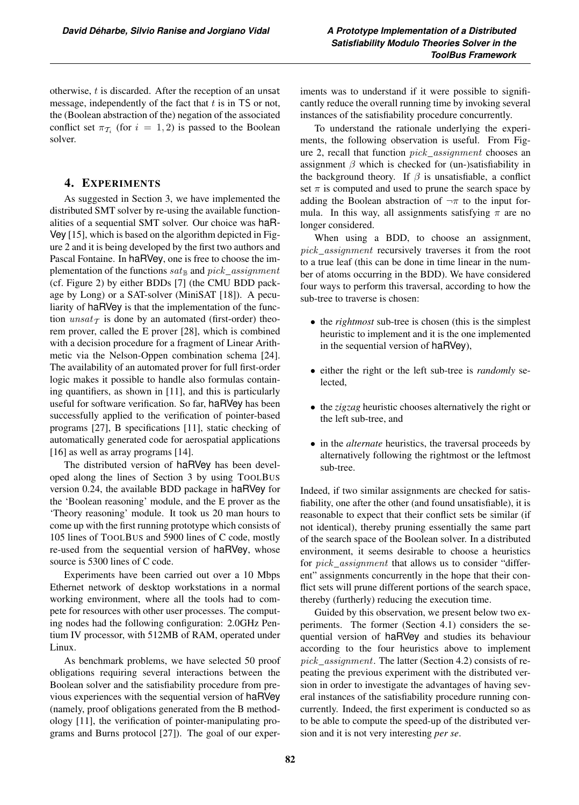otherwise, t is discarded. After the reception of an unsat message, independently of the fact that  $t$  is in TS or not, the (Boolean abstraction of the) negation of the associated conflict set  $\pi_{\mathcal{T}_i}$  (for  $i = 1, 2$ ) is passed to the Boolean solver.

# 4. EXPERIMENTS

As suggested in Section 3, we have implemented the distributed SMT solver by re-using the available functionalities of a sequential SMT solver. Our choice was haR-Vey [15], which is based on the algorithm depicted in Figure 2 and it is being developed by the first two authors and Pascal Fontaine. In haRVey, one is free to choose the implementation of the functions  $sat_{\mathbb{B}}$  and  $pick\_assignment$ (cf. Figure 2) by either BDDs [7] (the CMU BDD package by Long) or a SAT-solver (MiniSAT [18]). A peculiarity of haRVey is that the implementation of the function  $unsat_{\mathcal{T}}$  is done by an automated (first-order) theorem prover, called the E prover [28], which is combined with a decision procedure for a fragment of Linear Arithmetic via the Nelson-Oppen combination schema [24]. The availability of an automated prover for full first-order logic makes it possible to handle also formulas containing quantifiers, as shown in [11], and this is particularly useful for software verification. So far, haRVey has been successfully applied to the verification of pointer-based programs [27], B specifications [11], static checking of automatically generated code for aerospatial applications [16] as well as array programs [14].

The distributed version of haRVey has been developed along the lines of Section 3 by using TOOLBUS version 0.24, the available BDD package in haRVey for the 'Boolean reasoning' module, and the E prover as the 'Theory reasoning' module. It took us 20 man hours to come up with the first running prototype which consists of 105 lines of TOOLBUS and 5900 lines of C code, mostly re-used from the sequential version of haRVey, whose source is 5300 lines of C code.

Experiments have been carried out over a 10 Mbps Ethernet network of desktop workstations in a normal working environment, where all the tools had to compete for resources with other user processes. The computing nodes had the following configuration: 2.0GHz Pentium IV processor, with 512MB of RAM, operated under Linux.

As benchmark problems, we have selected 50 proof obligations requiring several interactions between the Boolean solver and the satisfiability procedure from previous experiences with the sequential version of haRVey (namely, proof obligations generated from the B methodology [11], the verification of pointer-manipulating programs and Burns protocol [27]). The goal of our exper-

iments was to understand if it were possible to significantly reduce the overall running time by invoking several instances of the satisfiability procedure concurrently.

To understand the rationale underlying the experiments, the following observation is useful. From Figure 2, recall that function pick\_assignment chooses an assignment  $\beta$  which is checked for (un-)satisfiability in the background theory. If  $\beta$  is unsatisfiable, a conflict set  $\pi$  is computed and used to prune the search space by adding the Boolean abstraction of  $\neg \pi$  to the input formula. In this way, all assignments satisfying  $\pi$  are no longer considered.

When using a BDD, to choose an assignment, pick\_assignment recursively traverses it from the root to a true leaf (this can be done in time linear in the number of atoms occurring in the BDD). We have considered four ways to perform this traversal, according to how the sub-tree to traverse is chosen:

- the *rightmost* sub-tree is chosen (this is the simplest heuristic to implement and it is the one implemented in the sequential version of haRVey),
- either the right or the left sub-tree is *randomly* selected,
- the *zigzag* heuristic chooses alternatively the right or the left sub-tree, and
- in the *alternate* heuristics, the traversal proceeds by alternatively following the rightmost or the leftmost sub-tree.

Indeed, if two similar assignments are checked for satisfiability, one after the other (and found unsatisfiable), it is reasonable to expect that their conflict sets be similar (if not identical), thereby pruning essentially the same part of the search space of the Boolean solver. In a distributed environment, it seems desirable to choose a heuristics for pick\_assignment that allows us to consider "different" assignments concurrently in the hope that their conflict sets will prune different portions of the search space, thereby (furtherly) reducing the execution time.

Guided by this observation, we present below two experiments. The former (Section 4.1) considers the sequential version of haRVey and studies its behaviour according to the four heuristics above to implement pick\_assignment. The latter (Section 4.2) consists of repeating the previous experiment with the distributed version in order to investigate the advantages of having several instances of the satisfiability procedure running concurrently. Indeed, the first experiment is conducted so as to be able to compute the speed-up of the distributed version and it is not very interesting *per se*.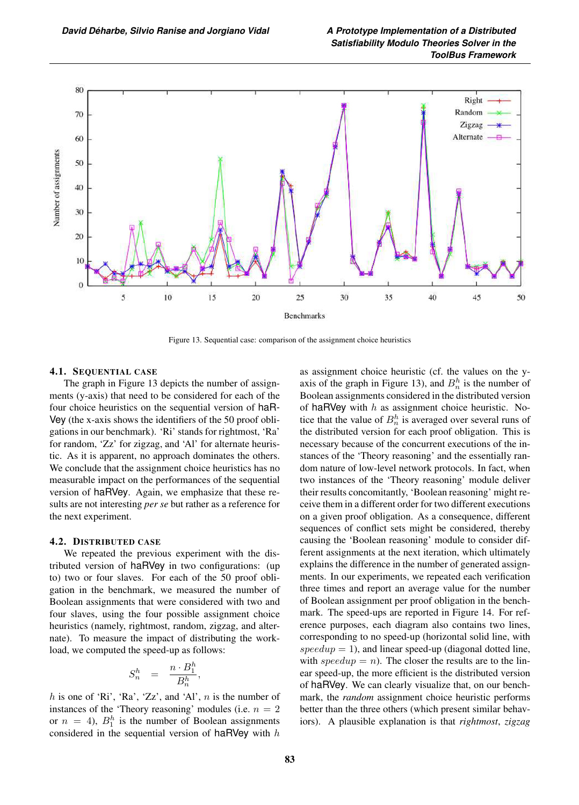

Figure 13. Sequential case: comparison of the assignment choice heuristics

## 4.1. SEQUENTIAL CASE

The graph in Figure 13 depicts the number of assignments (y-axis) that need to be considered for each of the four choice heuristics on the sequential version of haR-Vey (the x-axis shows the identifiers of the 50 proof obligations in our benchmark). 'Ri' stands for rightmost, 'Ra' for random, 'Zz' for zigzag, and 'Al' for alternate heuristic. As it is apparent, no approach dominates the others. We conclude that the assignment choice heuristics has no measurable impact on the performances of the sequential version of haRVey. Again, we emphasize that these results are not interesting *per se* but rather as a reference for the next experiment.

#### 4.2. DISTRIBUTED CASE

We repeated the previous experiment with the distributed version of haRVey in two configurations: (up to) two or four slaves. For each of the 50 proof obligation in the benchmark, we measured the number of Boolean assignments that were considered with two and four slaves, using the four possible assignment choice heuristics (namely, rightmost, random, zigzag, and alternate). To measure the impact of distributing the workload, we computed the speed-up as follows:

$$
S_n^h = \frac{n \cdot B_1^h}{B_n^h},
$$

h is one of 'Ri', 'Ra', 'Zz', and 'Al',  $n$  is the number of instances of the 'Theory reasoning' modules (i.e.  $n = 2$ or  $n = 4$ ),  $B_1^h$  is the number of Boolean assignments considered in the sequential version of haRVey with  $h$ 

as assignment choice heuristic (cf. the values on the yaxis of the graph in Figure 13), and  $B_n^h$  is the number of Boolean assignments considered in the distributed version of haRVey with  $h$  as assignment choice heuristic. Notice that the value of  $B_n^h$  is averaged over several runs of the distributed version for each proof obligation. This is necessary because of the concurrent executions of the instances of the 'Theory reasoning' and the essentially random nature of low-level network protocols. In fact, when two instances of the 'Theory reasoning' module deliver their results concomitantly, 'Boolean reasoning' might receive them in a different order for two different executions on a given proof obligation. As a consequence, different sequences of conflict sets might be considered, thereby causing the 'Boolean reasoning' module to consider different assignments at the next iteration, which ultimately explains the difference in the number of generated assignments. In our experiments, we repeated each verification three times and report an average value for the number of Boolean assignment per proof obligation in the benchmark. The speed-ups are reported in Figure 14. For reference purposes, each diagram also contains two lines, corresponding to no speed-up (horizontal solid line, with speedup = 1), and linear speed-up (diagonal dotted line, with speedup = n). The closer the results are to the linear speed-up, the more efficient is the distributed version of haRVey. We can clearly visualize that, on our benchmark, the *random* assignment choice heuristic performs better than the three others (which present similar behaviors). A plausible explanation is that *rightmost*, *zigzag*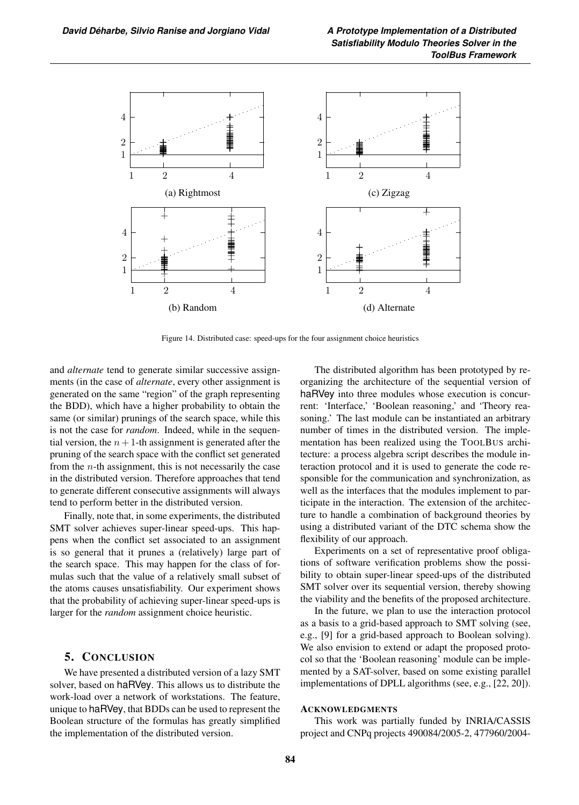

Figure 14. Distributed case: speed-ups for the four assignment choice heuristics

and *alternate* tend to generate similar successive assignments (in the case of *alternate*, every other assignment is generated on the same "region" of the graph representing the BDD), which have a higher probability to obtain the same (or similar) prunings of the search space, while this is not the case for *random*. Indeed, while in the sequential version, the  $n+1$ -th assignment is generated after the pruning of the search space with the conflict set generated from the  $n$ -th assignment, this is not necessarily the case in the distributed version. Therefore approaches that tend to generate different consecutive assignments will always tend to perform better in the distributed version.

Finally, note that, in some experiments, the distributed SMT solver achieves super-linear speed-ups. This happens when the conflict set associated to an assignment is so general that it prunes a (relatively) large part of the search space. This may happen for the class of formulas such that the value of a relatively small subset of the atoms causes unsatisfiability. Our experiment shows that the probability of achieving super-linear speed-ups is larger for the *random* assignment choice heuristic.

# 5. CONCLUSION

We have presented a distributed version of a lazy SMT solver, based on haRVey. This allows us to distribute the work-load over a network of workstations. The feature, unique to haRVey, that BDDs can be used to represent the Boolean structure of the formulas has greatly simplified the implementation of the distributed version.

The distributed algorithm has been prototyped by reorganizing the architecture of the sequential version of haRVey into three modules whose execution is concurrent: 'Interface,' 'Boolean reasoning,' and 'Theory reasoning.' The last module can be instantiated an arbitrary number of times in the distributed version. The implementation has been realized using the TOOLBUS architecture: a process algebra script describes the module interaction protocol and it is used to generate the code responsible for the communication and synchronization, as well as the interfaces that the modules implement to participate in the interaction. The extension of the architecture to handle a combination of background theories by using a distributed variant of the DTC schema show the flexibility of our approach.

Experiments on a set of representative proof obligations of software verification problems show the possibility to obtain super-linear speed-ups of the distributed SMT solver over its sequential version, thereby showing the viability and the benefits of the proposed architecture.

In the future, we plan to use the interaction protocol as a basis to a grid-based approach to SMT solving (see, e.g., [9] for a grid-based approach to Boolean solving). We also envision to extend or adapt the proposed protocol so that the 'Boolean reasoning' module can be implemented by a SAT-solver, based on some existing parallel implementations of DPLL algorithms (see, e.g., [22, 20]).

## **ACKNOWLEDGMENTS**

This work was partially funded by INRIA/CASSIS project and CNPq projects 490084/2005-2, 477960/2004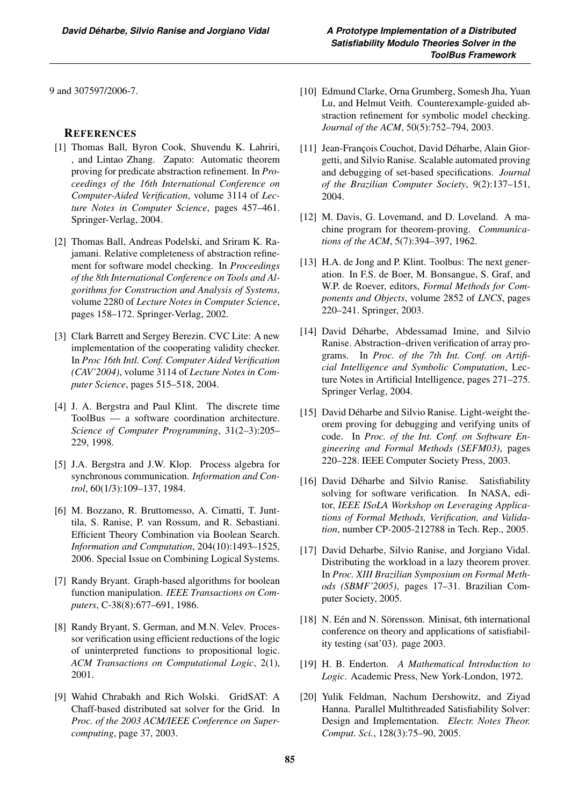9 and 307597/2006-7.

# **REFERENCES**

- [1] Thomas Ball, Byron Cook, Shuvendu K. Lahriri, , and Lintao Zhang. Zapato: Automatic theorem proving for predicate abstraction refinement. In *Proceedings of the 16th International Conference on Computer-Aided Verification*, volume 3114 of *Lecture Notes in Computer Science*, pages 457–461. Springer-Verlag, 2004.
- [2] Thomas Ball, Andreas Podelski, and Sriram K. Rajamani. Relative completeness of abstraction refinement for software model checking. In *Proceedings of the 8th International Conference on Tools and Algorithms for Construction and Analysis of Systems*, volume 2280 of *Lecture Notes in Computer Science*, pages 158–172. Springer-Verlag, 2002.
- [3] Clark Barrett and Sergey Berezin. CVC Lite: A new implementation of the cooperating validity checker. In *Proc 16th Intl. Conf. Computer Aided Verification (CAV'2004)*, volume 3114 of *Lecture Notes in Computer Science*, pages 515–518, 2004.
- [4] J. A. Bergstra and Paul Klint. The discrete time ToolBus — a software coordination architecture. *Science of Computer Programming*, 31(2–3):205– 229, 1998.
- [5] J.A. Bergstra and J.W. Klop. Process algebra for synchronous communication. *Information and Control*, 60(1/3):109–137, 1984.
- [6] M. Bozzano, R. Bruttomesso, A. Cimatti, T. Junttila, S. Ranise, P. van Rossum, and R. Sebastiani. Efficient Theory Combination via Boolean Search. *Information and Computation*, 204(10):1493–1525, 2006. Special Issue on Combining Logical Systems.
- [7] Randy Bryant. Graph-based algorithms for boolean function manipulation. *IEEE Transactions on Computers*, C-38(8):677–691, 1986.
- [8] Randy Bryant, S. German, and M.N. Velev. Processor verification using efficient reductions of the logic of uninterpreted functions to propositional logic. *ACM Transactions on Computational Logic*, 2(1), 2001.
- [9] Wahid Chrabakh and Rich Wolski. GridSAT: A Chaff-based distributed sat solver for the Grid. In *Proc. of the 2003 ACM/IEEE Conference on Supercomputing*, page 37, 2003.
- [10] Edmund Clarke, Orna Grumberg, Somesh Jha, Yuan Lu, and Helmut Veith. Counterexample-guided abstraction refinement for symbolic model checking. *Journal of the ACM*, 50(5):752–794, 2003.
- [11] Jean-François Couchot, David Déharbe, Alain Giorgetti, and Silvio Ranise. Scalable automated proving and debugging of set-based specifications. *Journal of the Brazilian Computer Society*, 9(2):137–151, 2004.
- [12] M. Davis, G. Lovemand, and D. Loveland. A machine program for theorem-proving. *Communications of the ACM*, 5(7):394–397, 1962.
- [13] H.A. de Jong and P. Klint. Toolbus: The next generation. In F.S. de Boer, M. Bonsangue, S. Graf, and W.P. de Roever, editors, *Formal Methods for Components and Objects*, volume 2852 of *LNCS*, pages 220–241. Springer, 2003.
- [14] David Déharbe, Abdessamad Imine, and Silvio Ranise. Abstraction–driven verification of array programs. In *Proc. of the 7th Int. Conf. on Artificial Intelligence and Symbolic Computation*, Lecture Notes in Artificial Intelligence, pages 271–275. Springer Verlag, 2004.
- [15] David Déharbe and Silvio Ranise. Light-weight theorem proving for debugging and verifying units of code. In *Proc. of the Int. Conf. on Software Engineering and Formal Methods (SEFM03)*, pages 220–228. IEEE Computer Society Press, 2003.
- [16] David Déharbe and Silvio Ranise. Satisfiability solving for software verification. In NASA, editor, *IEEE ISoLA Workshop on Leveraging Applications of Formal Methods, Verification, and Validation*, number CP-2005-212788 in Tech. Rep., 2005.
- [17] David Deharbe, Silvio Ranise, and Jorgiano Vidal. Distributing the workload in a lazy theorem prover. In *Proc. XIII Brazilian Symposium on Formal Methods (SBMF'2005)*, pages 17–31. Brazilian Computer Society, 2005.
- [18] N. Eén and N. Sörensson. Minisat, 6th international conference on theory and applications of satisfiability testing (sat'03). page 2003.
- [19] H. B. Enderton. *A Mathematical Introduction to Logic*. Academic Press, New York-London, 1972.
- [20] Yulik Feldman, Nachum Dershowitz, and Ziyad Hanna. Parallel Multithreaded Satisfiability Solver: Design and Implementation. *Electr. Notes Theor. Comput. Sci.*, 128(3):75–90, 2005.